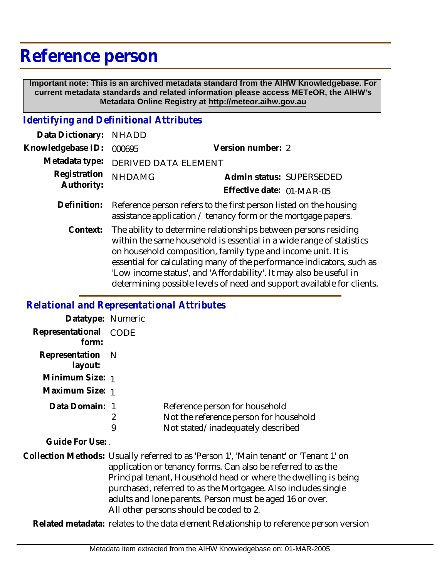## **Reference person**

 **Important note: This is an archived metadata standard from the AIHW Knowledgebase. For current metadata standards and related information please access METeOR, the AIHW's Metadata Online Registry at http://meteor.aihw.gov.au**

## *Identifying and Definitional Attributes*

| Data Dictionary: NHADD     |                                                                                                                                                |                           |                          |
|----------------------------|------------------------------------------------------------------------------------------------------------------------------------------------|---------------------------|--------------------------|
| Knowledgebase ID: 000695   |                                                                                                                                                | Version number: 2         |                          |
|                            | Metadata type: DERIVED DATA ELEMENT                                                                                                            |                           |                          |
| Registration<br>Authority: | <b>NHDAMG</b>                                                                                                                                  | Effective date: 01-MAR-05 | Admin status: SUPERSEDED |
|                            | Definition: Reference person refers to the first person listed on the housing<br>assistance application / tenancy form or the mortgage papers. |                           |                          |

The ability to determine relationships between persons residing within the same household is essential in a wide range of statistics on household composition, family type and income unit. It is essential for calculating many of the performance indicators, such as 'Low income status', and 'Affordability'. It may also be useful in determining possible levels of need and support available for clients. **Context:**

## *Relational and Representational Attributes*

| Datatype: Numeric              |                                                                                                                                                                                                                                                                                                                                                                                                  |                                                                                                               |
|--------------------------------|--------------------------------------------------------------------------------------------------------------------------------------------------------------------------------------------------------------------------------------------------------------------------------------------------------------------------------------------------------------------------------------------------|---------------------------------------------------------------------------------------------------------------|
| Representational CODE<br>form: |                                                                                                                                                                                                                                                                                                                                                                                                  |                                                                                                               |
| Representation<br>layout:      | - N                                                                                                                                                                                                                                                                                                                                                                                              |                                                                                                               |
| Minimum Size: 1                |                                                                                                                                                                                                                                                                                                                                                                                                  |                                                                                                               |
| Maximum Size: 1                |                                                                                                                                                                                                                                                                                                                                                                                                  |                                                                                                               |
| Data Domain: 1                 | 2<br>9                                                                                                                                                                                                                                                                                                                                                                                           | Reference person for household<br>Not the reference person for household<br>Not stated/inadequately described |
| Guide For Use:                 |                                                                                                                                                                                                                                                                                                                                                                                                  |                                                                                                               |
|                                | Collection Methods: Usually referred to as 'Person 1', 'Main tenant' or 'Tenant 1' on<br>application or tenancy forms. Can also be referred to as the<br>Principal tenant, Household head or where the dwelling is being<br>purchased, referred to as the Mortgagee. Also includes single<br>adults and lone parents. Person must be aged 16 or over.<br>All other persons should be coded to 2. |                                                                                                               |

**Related metadata:** relates to the data element Relationship to reference person version